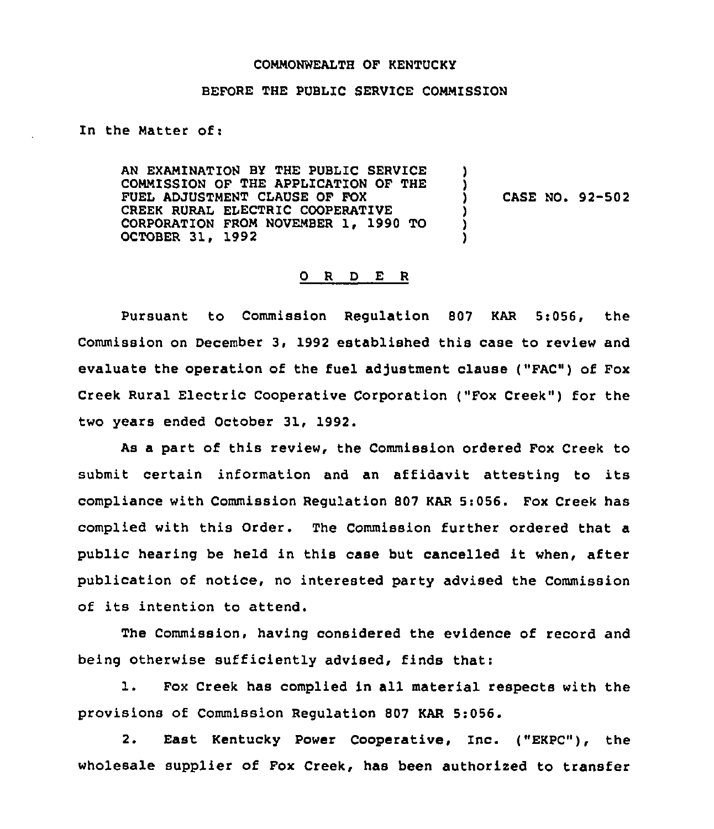#### COMMONWEALTH OF KENTUCKY

#### BEFORE THE PUBLIC SERVICE COMMISSION

In the Matter of:

AN EXAMINATION BY THE PUBLIC SERVICE COMMISSION QF THE APPLICATION OF THE FUEL ADJUSTMENT CLAUSE OF FOX CREEK RURAL ELECTRIC COOPERATIVE CORPORATION FROM NOVEMBER 1, 1990 TO OCTOBER 31, 1992 ) ) ) CASE NO. 92-502 ) ) )

#### 0 R <sup>D</sup> E R

Pursuant to Commission Regulation 807 KAR 5:056, the Commission on December 3, 1992 established this case to review and evaluate the operation of the fuel adjustment clause ("FAC") of Fox Creek Rural Electric Cooperative Corporation ("Fox Creek") for the two years ended October 31, 1992.

As a part of this review, the Commission ordered Fox Creek to submit certain information and an affidavit attesting to its compliance with Commission Regulation 807 KAR 5:056. Fox Creek has complied with this Order. The Commission further ordered that a public hearing be held in this case but cancelled it when, after publication of notice, no interested party advised the Commission of its intention to attend.

The Commission, having considered the evidence of record and being otherwise sufficiently advised, finds that:

1. Fox Creek has complied in all material respects with the provisions of Commission Regulation 807 KAR 5:056.

2. East Kentucky Power Cooperative, Inc. ("EKPC"), the wholesale supplier of Fox Creek, has been authorized to transfer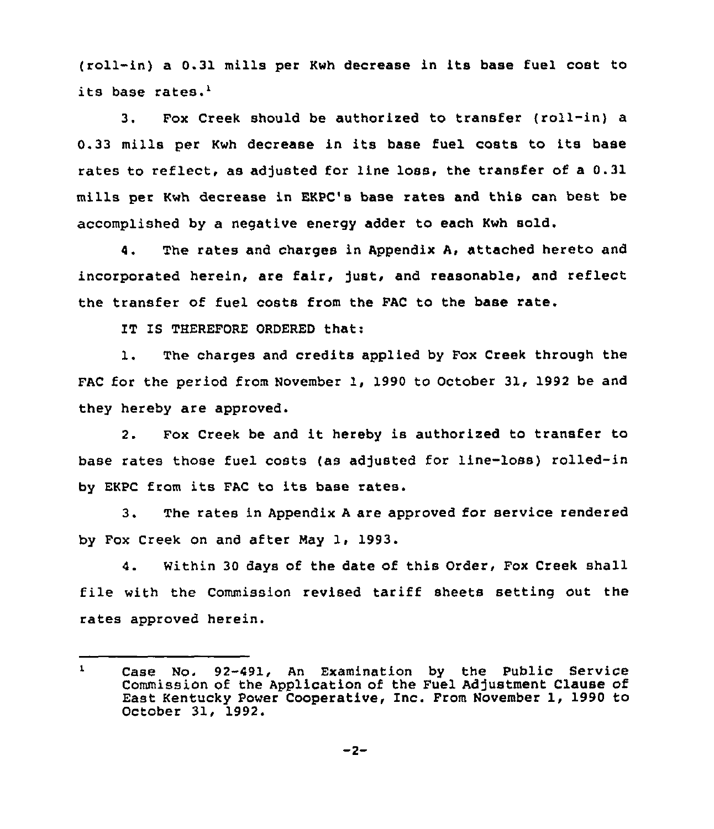(roll-in) a 0.31 mills per Kwh decrease in its base fuel cost to its base rates.'.

 $3.$ Fox Creek should be authorized to transfer (roll-in) a 0.33 mills per Kwh decrease in its base fuel costs to its base rates to reflect, as adjusted for line loss, the transfer of a 0.31 mills per Kwh decrease in EKPC's base rates and this can best be accomplished by a negative energy adder to each Kwh sold.

4. The rates and charges in Appendix A, attached hereto and incorporated herein, are fair, just, and reasonable, and reflect the transfer of fuel costs from the FAC to the base rate.

IT IS THEREFORE ORDERED that:

1. The charges and credits applied by Fox Creek through the FAC for the period from November 1, 1990 to October 31, 1992 be and they hereby are approved.

2. Fox Creek be and it hereby is authorized to transfer to base rates those fuel costs (as adjusted for line-loss) rolled-in by EKPC from its FAC to its base rates.

3. The rates in Appendix <sup>A</sup> are approved for service rendered by Fox Creek on and after May 1, 1993.

4. Within 30 days of the date of this Order, Fox Creek shall file with the Commission revised tariff sheets setting out the rates approved herein.

 $\mathbf{1}$ Case No. 92-491, An Examination by the Public Service Commission of the Application of the Fuel Adjustment Clause of East Kentucky Power Cooperative, Inc. From November 1, 1990 to October 31, 1992.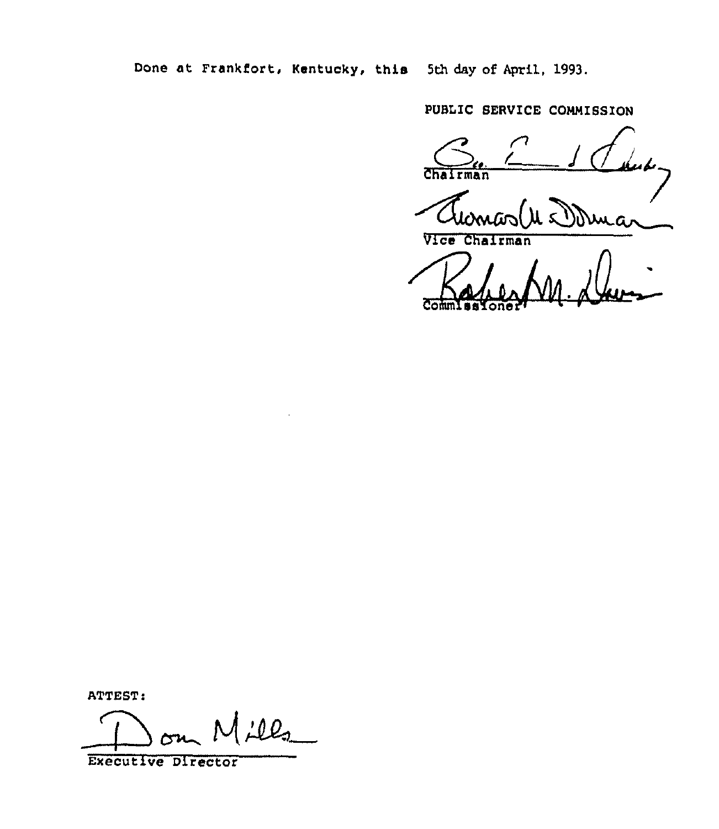Done at Frankfort, kentucky, this 5th day of April, 1993.

PUBLIC SERVICE COMMISSION

 $J$  class Chairman

Bahea VICE Chairman

ATTEST:

ill,

Executive Director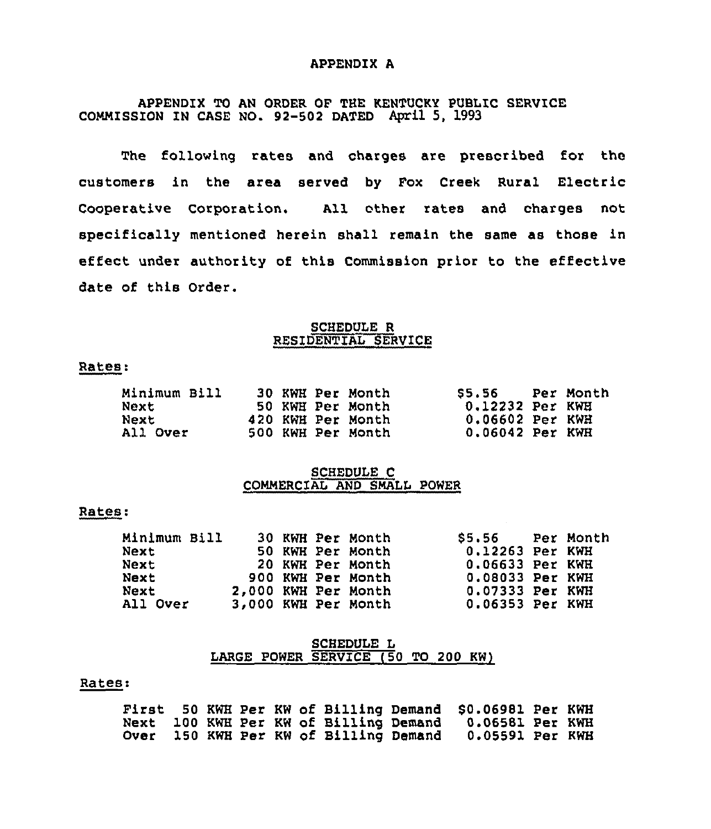#### APPENDIX A

## APPENDIX TO AN ORDER OF THE KENTUCKY PUBLIC SERVICE COMMISSION IN CASE NO. 92-502 DATED April 5, 1993

The following rates and charges are prescribed for the customers in the area served by Fox Creek Rural Electric Cooperative Corporation. All other rates and charges not specifically mentioned herein shall remain the same as those in effect under authority of this Commission prior to the effective date of this Order.

#### SCHEDULE R RESIDENTIAL SERVICE

#### Rates".

| Minimum Bill |  | 30 KWH Per Month  | SS. 56          | - Per Month |
|--------------|--|-------------------|-----------------|-------------|
| Next         |  | 50 KWH Per Month  | 0.12232 Per KWH |             |
| Next         |  | 420 KWH Per Month | 0.06602 Per KWH |             |
| All Over     |  | 500 KWH Per Month | 0.06042 Per KWH |             |

#### SCHEDULE C COMMERCIAL AND SMALL POWER

#### Rates:

| Minimum Bill<br>Next<br>Next<br>Next |  | 30 KWH Per Month<br>50 KWH Per Month<br>20 KWH Per Month<br>900 KWH Per Month | \$5.56 Per Month<br>0.12263 Per KWH<br>0.06633 Per KWH<br>0.08033 Per KWH |  |
|--------------------------------------|--|-------------------------------------------------------------------------------|---------------------------------------------------------------------------|--|
| Next<br>All Over                     |  | 2,000 KWH Per Month<br>3,000 KWH Per Month                                    | 0.07333 Per KWH<br>0.06353 Per KWH                                        |  |

#### SCHEDULE L LARGE POWER SERVICE (50 TO 200 KW)

#### Rates:

|  |  |  |                                       | First 50 KWH Per KW of Billing Demand \$0.06981 Per KWH |  |
|--|--|--|---------------------------------------|---------------------------------------------------------|--|
|  |  |  |                                       | Next 100 KWH Per KW of Billing Demand 0.06581 Per KWH   |  |
|  |  |  | Over 150 KWH Per KW of Billing Demand | 0.05591 Per KWH                                         |  |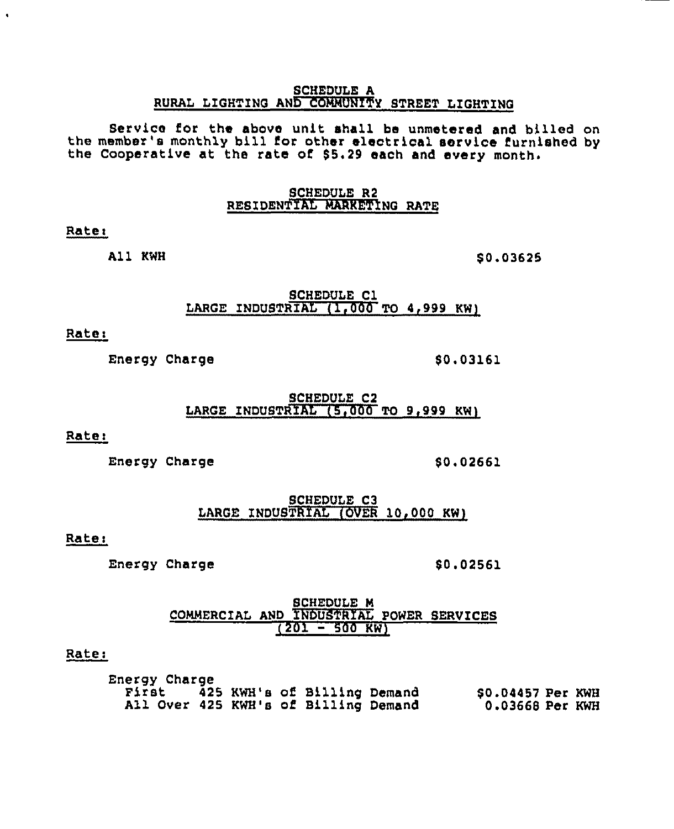#### SCHEDULE A RURAL LIGHTING AND COMMUNITY STREET LIGHTING

Service for the above unit shall be unmetered and billed on<br>the member's monthly bill for other electrical service furnished by the Cooperative at the rate of \$5.29 each and every month.

#### SCHEDULE R2 RESIDENTIAL MARKETING RATE

#### Rate<

All KWH

\$ 0.03625

SCHEDULE Cl LARGE INDUSTRIAL  $(1,000$  TO 4,999 KW)

## Ratei

Energy Charge 50.03161

SCHEDULE C2 LARGE INDUSTRIAL  $(5,000$  TO 9.999 KW)

Rate:

Energy Charge 50.02661

SCHEDULE C3 LARGE INDUSTRIAL (OVER 10,000 KW)

## Rate:

Energy Charge  $$0.02561$ 

<u>SCHEDULE M</u> COMMERCIAL AND XNDUSTRIAL POWER SERVICES  $(201 - 500$  KW)

## Rate:

Energy Charge<br>First 425 KWH's of Billing Demand All Over 425 KWH's of Billing Demand \$0.04457 Per KWH 0.03668 Per KWH